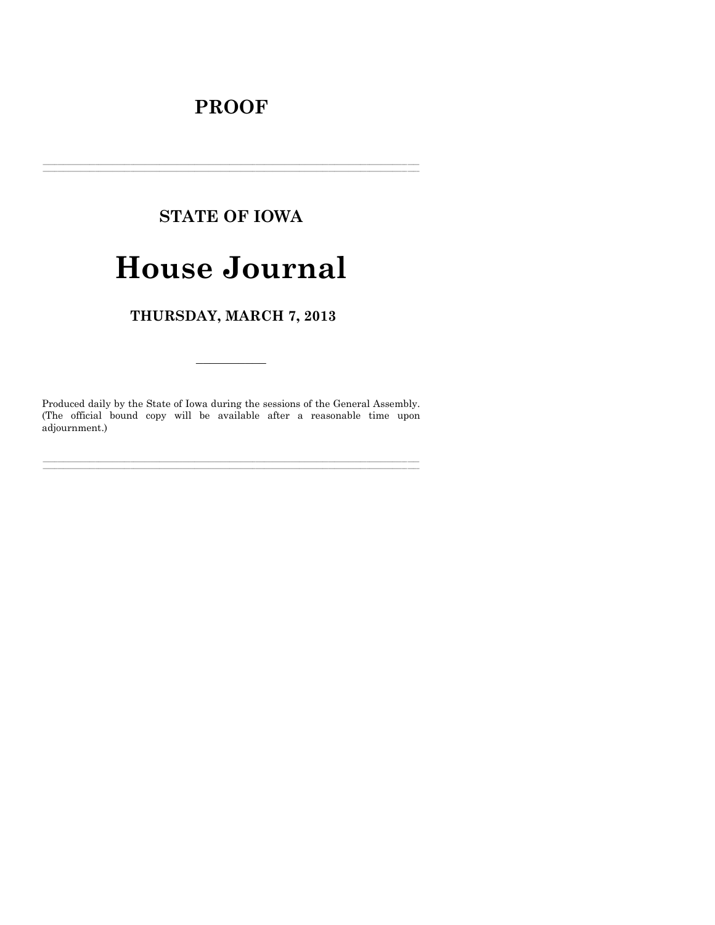## **PROOF**

## **STATE OF IOWA**

# **House Journal**

THURSDAY, MARCH 7, 2013

Produced daily by the State of Iowa during the sessions of the General Assembly. (The official bound copy will be available after a reasonable time upon adjournment.)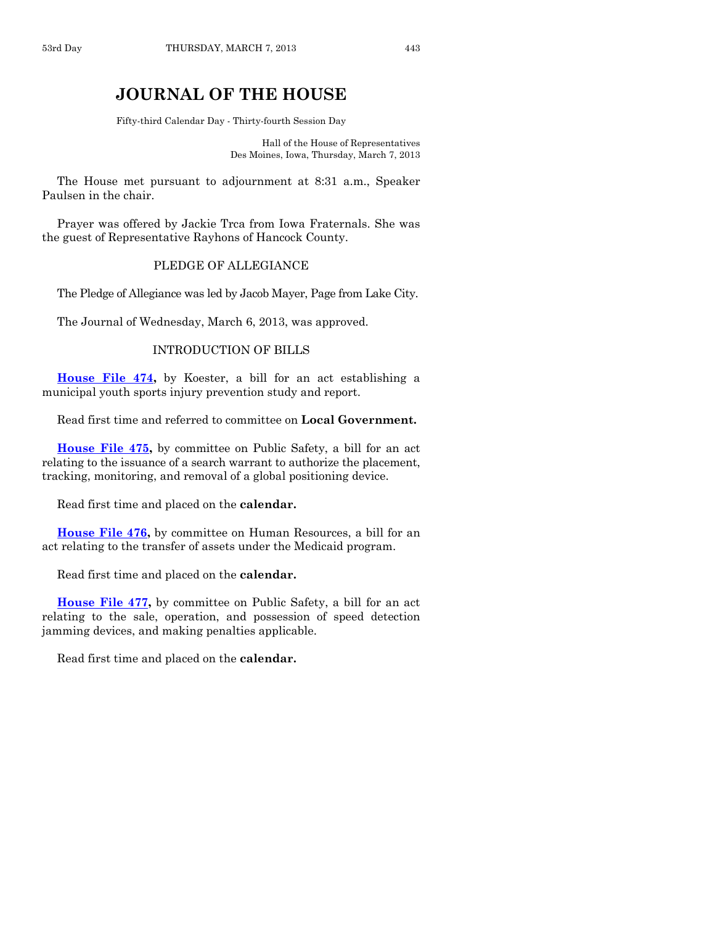### **JOURNAL OF THE HOUSE**

Fifty-third Calendar Day - Thirty-fourth Session Day

Hall of the House of Representatives Des Moines, Iowa, Thursday, March 7, 2013

The House met pursuant to adjournment at 8:31 a.m., Speaker Paulsen in the chair.

Prayer was offered by Jackie Trca from Iowa Fraternals. She was the guest of Representative Rayhons of Hancock County.

#### PLEDGE OF ALLEGIANCE

The Pledge of Allegiance was led by Jacob Mayer, Page from Lake City.

The Journal of Wednesday, March 6, 2013, was approved.

#### INTRODUCTION OF BILLS

**[House File 474,](http://coolice.legis.state.ia.us/Cool-ICE/default.asp?Category=billinfo&Service=Billbook&frame=1&GA=85&hbill=HF474)** by Koester, a bill for an act establishing a municipal youth sports injury prevention study and report.

Read first time and referred to committee on **Local Government.**

**[House File 475,](http://coolice.legis.state.ia.us/Cool-ICE/default.asp?Category=billinfo&Service=Billbook&frame=1&GA=85&hbill=HF475)** by committee on Public Safety, a bill for an act relating to the issuance of a search warrant to authorize the placement, tracking, monitoring, and removal of a global positioning device.

Read first time and placed on the **calendar.**

**[House File 476,](http://coolice.legis.state.ia.us/Cool-ICE/default.asp?Category=billinfo&Service=Billbook&frame=1&GA=85&hbill=HF476)** by committee on Human Resources, a bill for an act relating to the transfer of assets under the Medicaid program.

Read first time and placed on the **calendar.**

**[House File 477,](http://coolice.legis.state.ia.us/Cool-ICE/default.asp?Category=billinfo&Service=Billbook&frame=1&GA=85&hbill=HF477)** by committee on Public Safety, a bill for an act relating to the sale, operation, and possession of speed detection jamming devices, and making penalties applicable.

Read first time and placed on the **calendar.**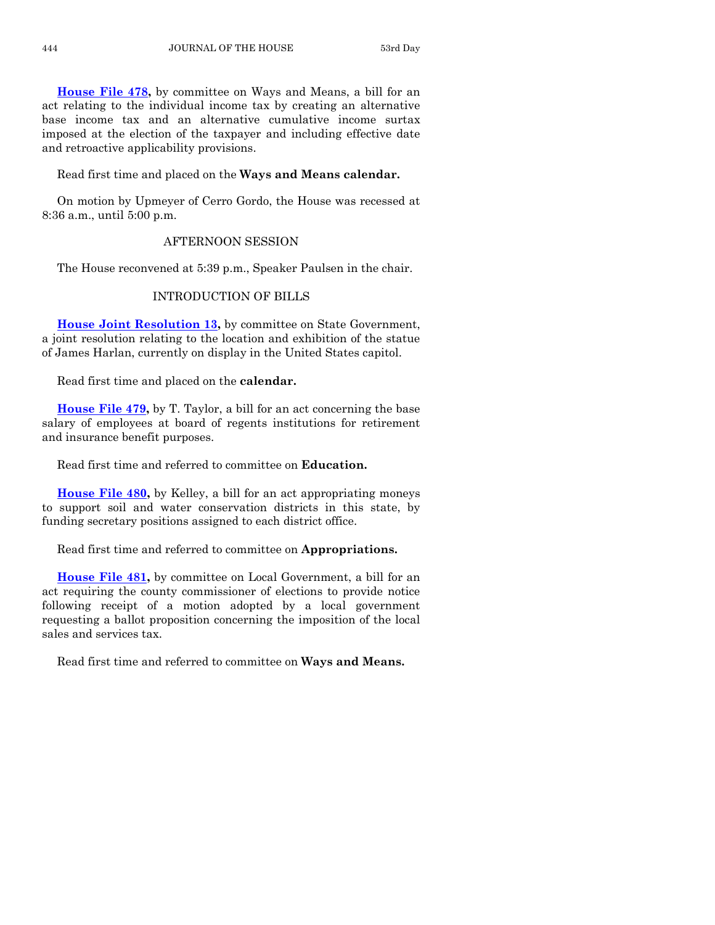**[House File 478,](http://coolice.legis.state.ia.us/Cool-ICE/default.asp?Category=billinfo&Service=Billbook&frame=1&GA=85&hbill=HF478)** by committee on Ways and Means, a bill for an act relating to the individual income tax by creating an alternative base income tax and an alternative cumulative income surtax imposed at the election of the taxpayer and including effective date and retroactive applicability provisions.

#### Read first time and placed on the **Ways and Means calendar.**

On motion by Upmeyer of Cerro Gordo, the House was recessed at 8:36 a.m., until 5:00 p.m.

#### AFTERNOON SESSION

The House reconvened at 5:39 p.m., Speaker Paulsen in the chair.

#### INTRODUCTION OF BILLS

**[House Joint Resolution 13,](http://coolice.legis.state.ia.us/Cool-ICE/default.asp?Category=billinfo&Service=Billbook&frame=1&GA=85&hbill=HJR13)** by committee on State Government, a joint resolution relating to the location and exhibition of the statue of James Harlan, currently on display in the United States capitol.

Read first time and placed on the **calendar.**

**[House File 479,](http://coolice.legis.state.ia.us/Cool-ICE/default.asp?Category=billinfo&Service=Billbook&frame=1&GA=85&hbill=HF479)** by T. Taylor, a bill for an act concerning the base salary of employees at board of regents institutions for retirement and insurance benefit purposes.

Read first time and referred to committee on **Education.**

**[House File 480,](http://coolice.legis.state.ia.us/Cool-ICE/default.asp?Category=billinfo&Service=Billbook&frame=1&GA=85&hbill=HF480)** by Kelley, a bill for an act appropriating moneys to support soil and water conservation districts in this state, by funding secretary positions assigned to each district office.

Read first time and referred to committee on **Appropriations.**

**[House File 481,](http://coolice.legis.state.ia.us/Cool-ICE/default.asp?Category=billinfo&Service=Billbook&frame=1&GA=85&hbill=HF481)** by committee on Local Government, a bill for an act requiring the county commissioner of elections to provide notice following receipt of a motion adopted by a local government requesting a ballot proposition concerning the imposition of the local sales and services tax.

Read first time and referred to committee on **Ways and Means.**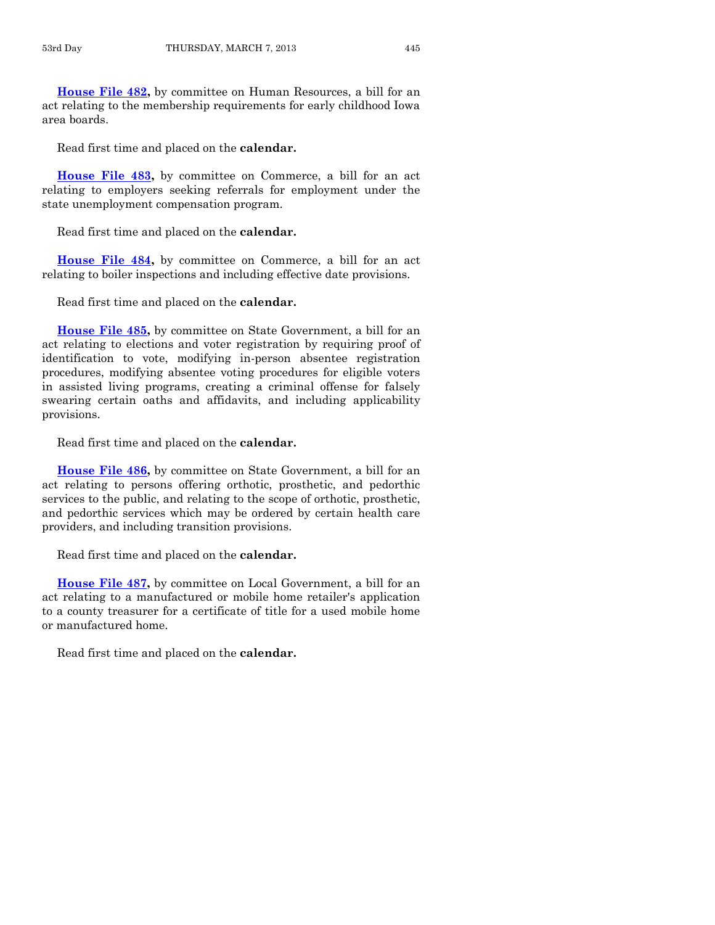**[House File 482,](http://coolice.legis.state.ia.us/Cool-ICE/default.asp?Category=billinfo&Service=Billbook&frame=1&GA=85&hbill=HF482)** by committee on Human Resources, a bill for an act relating to the membership requirements for early childhood Iowa area boards.

Read first time and placed on the **calendar.**

**[House File 483,](http://coolice.legis.state.ia.us/Cool-ICE/default.asp?Category=billinfo&Service=Billbook&frame=1&GA=85&hbill=HF483)** by committee on Commerce, a bill for an act relating to employers seeking referrals for employment under the state unemployment compensation program.

Read first time and placed on the **calendar.**

**[House File 484,](http://coolice.legis.state.ia.us/Cool-ICE/default.asp?Category=billinfo&Service=Billbook&frame=1&GA=85&hbill=HF484)** by committee on Commerce, a bill for an act relating to boiler inspections and including effective date provisions.

Read first time and placed on the **calendar.**

**[House File 485,](http://coolice.legis.state.ia.us/Cool-ICE/default.asp?Category=billinfo&Service=Billbook&frame=1&GA=85&hbill=HF485)** by committee on State Government, a bill for an act relating to elections and voter registration by requiring proof of identification to vote, modifying in-person absentee registration procedures, modifying absentee voting procedures for eligible voters in assisted living programs, creating a criminal offense for falsely swearing certain oaths and affidavits, and including applicability provisions.

Read first time and placed on the **calendar.**

**[House File 486,](http://coolice.legis.state.ia.us/Cool-ICE/default.asp?Category=billinfo&Service=Billbook&frame=1&GA=85&hbill=HF486)** by committee on State Government, a bill for an act relating to persons offering orthotic, prosthetic, and pedorthic services to the public, and relating to the scope of orthotic, prosthetic, and pedorthic services which may be ordered by certain health care providers, and including transition provisions.

Read first time and placed on the **calendar.**

**[House File 487,](http://coolice.legis.state.ia.us/Cool-ICE/default.asp?Category=billinfo&Service=Billbook&frame=1&GA=85&hbill=HF487)** by committee on Local Government, a bill for an act relating to a manufactured or mobile home retailer's application to a county treasurer for a certificate of title for a used mobile home or manufactured home.

Read first time and placed on the **calendar.**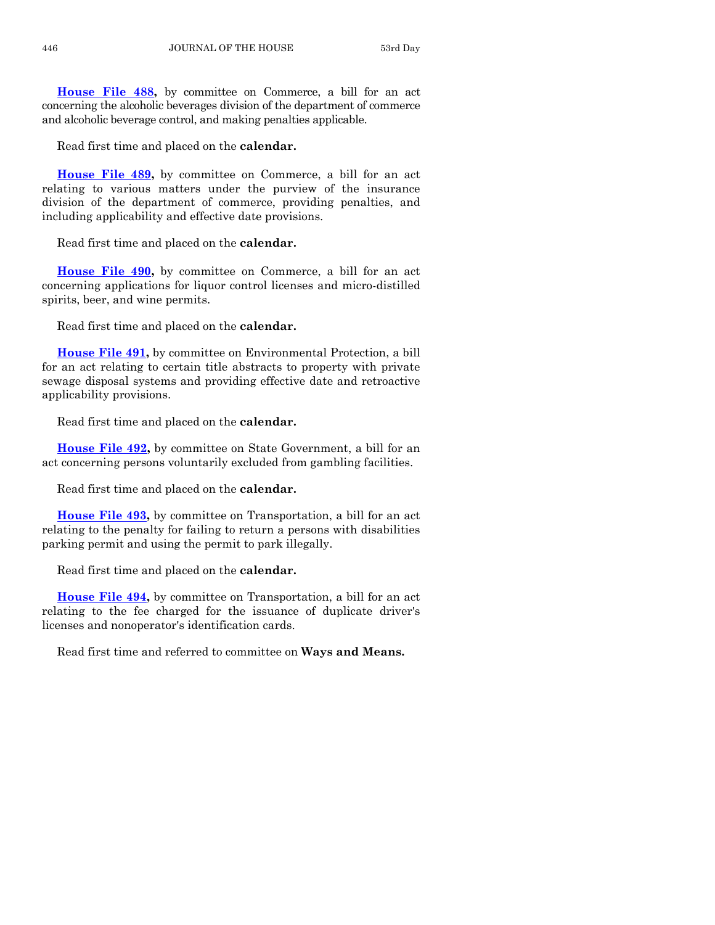**[House File 488,](http://coolice.legis.state.ia.us/Cool-ICE/default.asp?Category=billinfo&Service=Billbook&frame=1&GA=85&hbill=HF488)** by committee on Commerce, a bill for an act concerning the alcoholic beverages division of the department of commerce and alcoholic beverage control, and making penalties applicable.

Read first time and placed on the **calendar.**

**[House File 489,](http://coolice.legis.state.ia.us/Cool-ICE/default.asp?Category=billinfo&Service=Billbook&frame=1&GA=85&hbill=HF489)** by committee on Commerce, a bill for an act relating to various matters under the purview of the insurance division of the department of commerce, providing penalties, and including applicability and effective date provisions.

Read first time and placed on the **calendar.**

**[House File 490,](http://coolice.legis.state.ia.us/Cool-ICE/default.asp?Category=billinfo&Service=Billbook&frame=1&GA=85&hbill=HF490)** by committee on Commerce, a bill for an act concerning applications for liquor control licenses and micro-distilled spirits, beer, and wine permits.

Read first time and placed on the **calendar.**

**[House File 491,](http://coolice.legis.state.ia.us/Cool-ICE/default.asp?Category=billinfo&Service=Billbook&frame=1&GA=85&hbill=HF491)** by committee on Environmental Protection, a bill for an act relating to certain title abstracts to property with private sewage disposal systems and providing effective date and retroactive applicability provisions.

Read first time and placed on the **calendar.**

**[House File 492,](http://coolice.legis.state.ia.us/Cool-ICE/default.asp?Category=billinfo&Service=Billbook&frame=1&GA=85&hbill=HF492)** by committee on State Government, a bill for an act concerning persons voluntarily excluded from gambling facilities.

Read first time and placed on the **calendar.**

**[House File 493,](http://coolice.legis.state.ia.us/Cool-ICE/default.asp?Category=billinfo&Service=Billbook&frame=1&GA=85&hbill=HF493)** by committee on Transportation, a bill for an act relating to the penalty for failing to return a persons with disabilities parking permit and using the permit to park illegally.

Read first time and placed on the **calendar.**

**[House File 494,](http://coolice.legis.state.ia.us/Cool-ICE/default.asp?Category=billinfo&Service=Billbook&frame=1&GA=85&hbill=HF494)** by committee on Transportation, a bill for an act relating to the fee charged for the issuance of duplicate driver's licenses and nonoperator's identification cards.

Read first time and referred to committee on **Ways and Means.**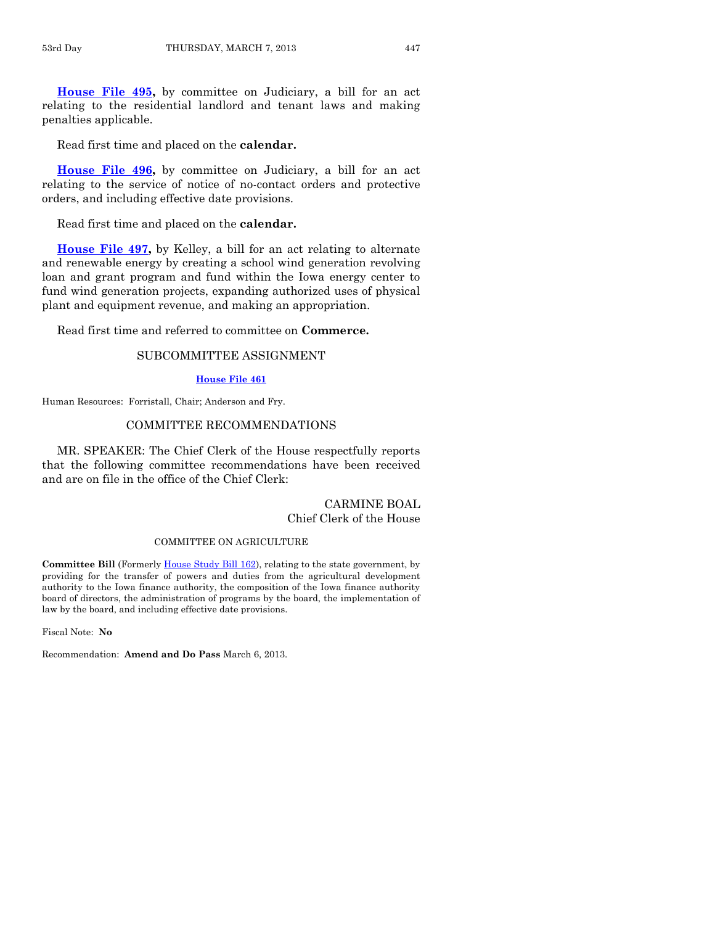**[House File 495,](http://coolice.legis.state.ia.us/Cool-ICE/default.asp?Category=billinfo&Service=Billbook&frame=1&GA=85&hbill=HF495)** by committee on Judiciary, a bill for an act relating to the residential landlord and tenant laws and making penalties applicable.

Read first time and placed on the **calendar.**

**[House File 496,](http://coolice.legis.state.ia.us/Cool-ICE/default.asp?Category=billinfo&Service=Billbook&frame=1&GA=85&hbill=HF496)** by committee on Judiciary, a bill for an act relating to the service of notice of no-contact orders and protective orders, and including effective date provisions.

Read first time and placed on the **calendar.**

**[House File 497,](http://coolice.legis.state.ia.us/Cool-ICE/default.asp?Category=billinfo&Service=Billbook&frame=1&GA=85&hbill=HF497)** by Kelley, a bill for an act relating to alternate and renewable energy by creating a school wind generation revolving loan and grant program and fund within the Iowa energy center to fund wind generation projects, expanding authorized uses of physical plant and equipment revenue, and making an appropriation.

Read first time and referred to committee on **Commerce.**

#### SUBCOMMITTEE ASSIGNMENT

#### **[House File 461](http://coolice.legis.state.ia.us/Cool-ICE/default.asp?Category=billinfo&Service=Billbook&frame=1&GA=85&hbill=HF461)**

Human Resources: Forristall, Chair; Anderson and Fry.

#### COMMITTEE RECOMMENDATIONS

MR. SPEAKER: The Chief Clerk of the House respectfully reports that the following committee recommendations have been received and are on file in the office of the Chief Clerk:

#### CARMINE BOAL Chief Clerk of the House

#### COMMITTEE ON AGRICULTURE

**Committee Bill** (Formerl[y House Study Bill 162\),](http://coolice.legis.state.ia.us/Cool-ICE/default.asp?Category=billinfo&Service=Billbook&frame=1&GA=85&hbill=HSB162) relating to the state government, by providing for the transfer of powers and duties from the agricultural development authority to the Iowa finance authority, the composition of the Iowa finance authority board of directors, the administration of programs by the board, the implementation of law by the board, and including effective date provisions.

Fiscal Note: **No**

Recommendation: **Amend and Do Pass** March 6, 2013.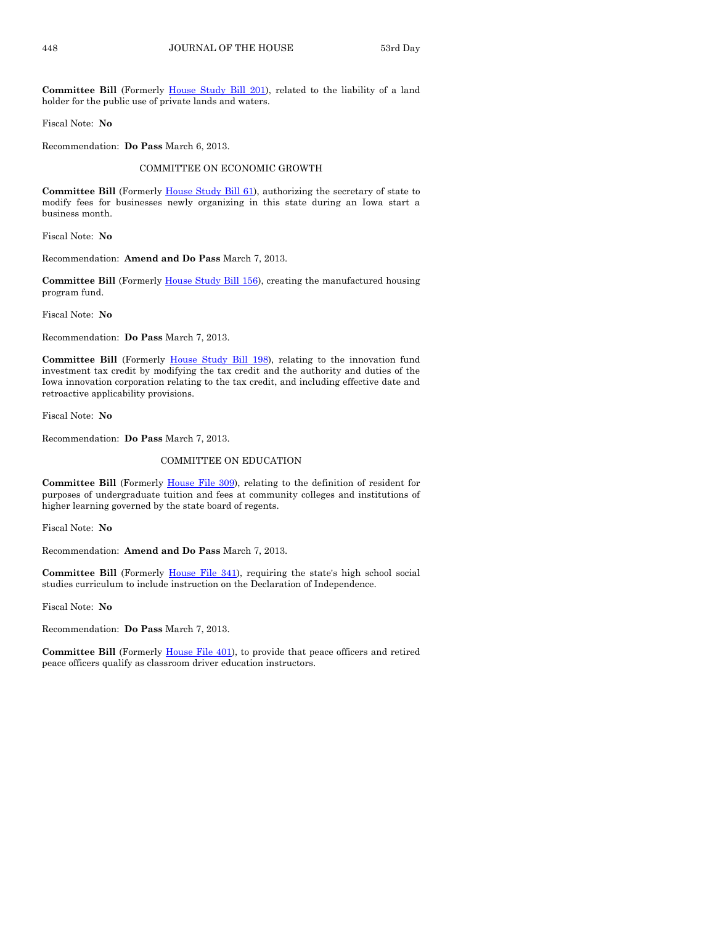**Committee Bill** (Formerly [House Study Bill 201\)](http://coolice.legis.state.ia.us/Cool-ICE/default.asp?Category=billinfo&Service=Billbook&frame=1&GA=85&hbill=HSB201), related to the liability of a land holder for the public use of private lands and waters.

Fiscal Note: **No**

Recommendation: **Do Pass** March 6, 2013.

#### COMMITTEE ON ECONOMIC GROWTH

**Committee Bill** (Formerly [House Study Bill 61\),](http://coolice.legis.state.ia.us/Cool-ICE/default.asp?Category=billinfo&Service=Billbook&frame=1&GA=85&hbill=HSB61) authorizing the secretary of state to modify fees for businesses newly organizing in this state during an Iowa start a business month.

Fiscal Note: **No**

Recommendation: **Amend and Do Pass** March 7, 2013.

**Committee Bill** (Formerly [House Study Bill 156\)](http://coolice.legis.state.ia.us/Cool-ICE/default.asp?Category=billinfo&Service=Billbook&frame=1&GA=85&hbill=HSB156), creating the manufactured housing program fund.

Fiscal Note: **No**

Recommendation: **Do Pass** March 7, 2013.

**Committee Bill** (Formerly [House Study Bill 198\)](http://coolice.legis.state.ia.us/Cool-ICE/default.asp?Category=billinfo&Service=Billbook&frame=1&GA=85&hbill=HSB198), relating to the innovation fund investment tax credit by modifying the tax credit and the authority and duties of the Iowa innovation corporation relating to the tax credit, and including effective date and retroactive applicability provisions.

Fiscal Note: **No**

Recommendation: **Do Pass** March 7, 2013.

#### COMMITTEE ON EDUCATION

**Committee Bill** (Formerly [House File 309\)](http://coolice.legis.state.ia.us/Cool-ICE/default.asp?Category=billinfo&Service=Billbook&frame=1&GA=85&hbill=HF309), relating to the definition of resident for purposes of undergraduate tuition and fees at community colleges and institutions of higher learning governed by the state board of regents.

Fiscal Note: **No**

Recommendation: **Amend and Do Pass** March 7, 2013.

**Committee Bill** (Formerly [House File 341\)](http://coolice.legis.state.ia.us/Cool-ICE/default.asp?Category=billinfo&Service=Billbook&frame=1&GA=85&hbill=HF341), requiring the state's high school social studies curriculum to include instruction on the Declaration of Independence.

Fiscal Note: **No**

Recommendation: **Do Pass** March 7, 2013.

Committee Bill (Formerly [House File 401\)](http://coolice.legis.state.ia.us/Cool-ICE/default.asp?Category=billinfo&Service=Billbook&frame=1&GA=85&hbill=HF401), to provide that peace officers and retired peace officers qualify as classroom driver education instructors.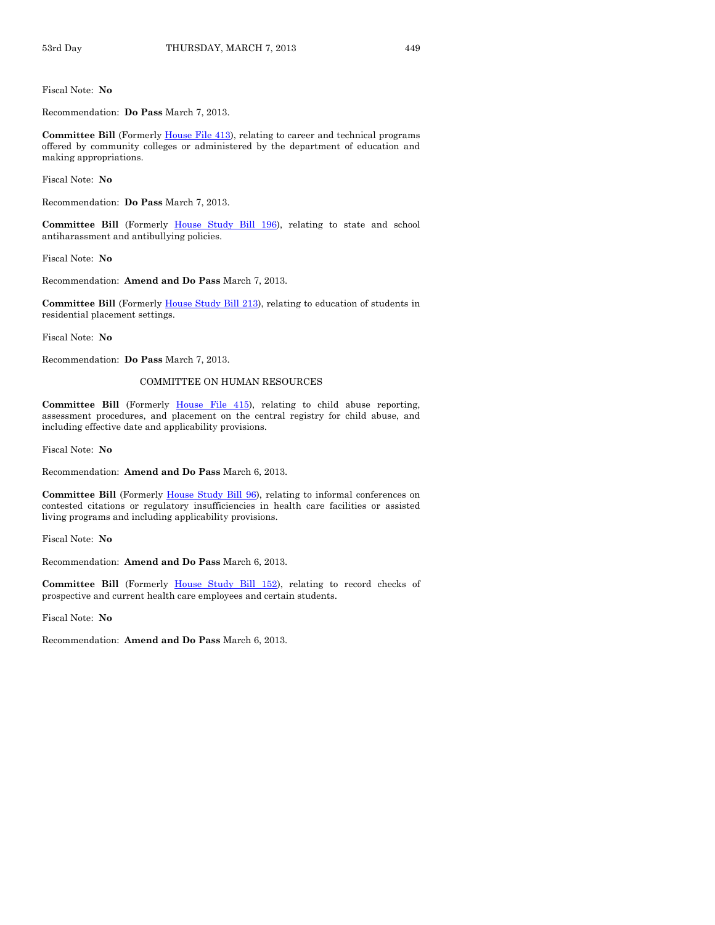Fiscal Note: **No**

Recommendation: **Do Pass** March 7, 2013.

**Committee Bill** (Formerly [House File 413\)](http://coolice.legis.state.ia.us/Cool-ICE/default.asp?Category=billinfo&Service=Billbook&frame=1&GA=85&hbill=HF413), relating to career and technical programs offered by community colleges or administered by the department of education and making appropriations.

Fiscal Note: **No**

Recommendation: **Do Pass** March 7, 2013.

**Committee Bill** (Formerly [House Study Bill 196\)](http://coolice.legis.state.ia.us/Cool-ICE/default.asp?Category=billinfo&Service=Billbook&frame=1&GA=85&hbill=HSB196), relating to state and school antiharassment and antibullying policies.

Fiscal Note: **No**

Recommendation: **Amend and Do Pass** March 7, 2013.

**Committee Bill** (Formerly [House Study Bill 213\)](http://coolice.legis.state.ia.us/Cool-ICE/default.asp?Category=billinfo&Service=Billbook&frame=1&GA=85&hbill=HSB213), relating to education of students in residential placement settings.

Fiscal Note: **No**

Recommendation: **Do Pass** March 7, 2013.

#### COMMITTEE ON HUMAN RESOURCES

Committee Bill (Formerly [House File 415\)](http://coolice.legis.state.ia.us/Cool-ICE/default.asp?Category=billinfo&Service=Billbook&frame=1&GA=85&hbill=HF415), relating to child abuse reporting, assessment procedures, and placement on the central registry for child abuse, and including effective date and applicability provisions.

Fiscal Note: **No**

Recommendation: **Amend and Do Pass** March 6, 2013.

Committee Bill (Formerly [House Study Bill 96\)](http://coolice.legis.state.ia.us/Cool-ICE/default.asp?Category=billinfo&Service=Billbook&frame=1&GA=85&hbill=HSB96), relating to informal conferences on contested citations or regulatory insufficiencies in health care facilities or assisted living programs and including applicability provisions.

Fiscal Note: **No**

Recommendation: **Amend and Do Pass** March 6, 2013.

**Committee Bill** (Formerly [House Study Bill 152\)](http://coolice.legis.state.ia.us/Cool-ICE/default.asp?Category=billinfo&Service=Billbook&frame=1&GA=85&hbill=HSB152), relating to record checks of prospective and current health care employees and certain students.

Fiscal Note: **No**

Recommendation: **Amend and Do Pass** March 6, 2013.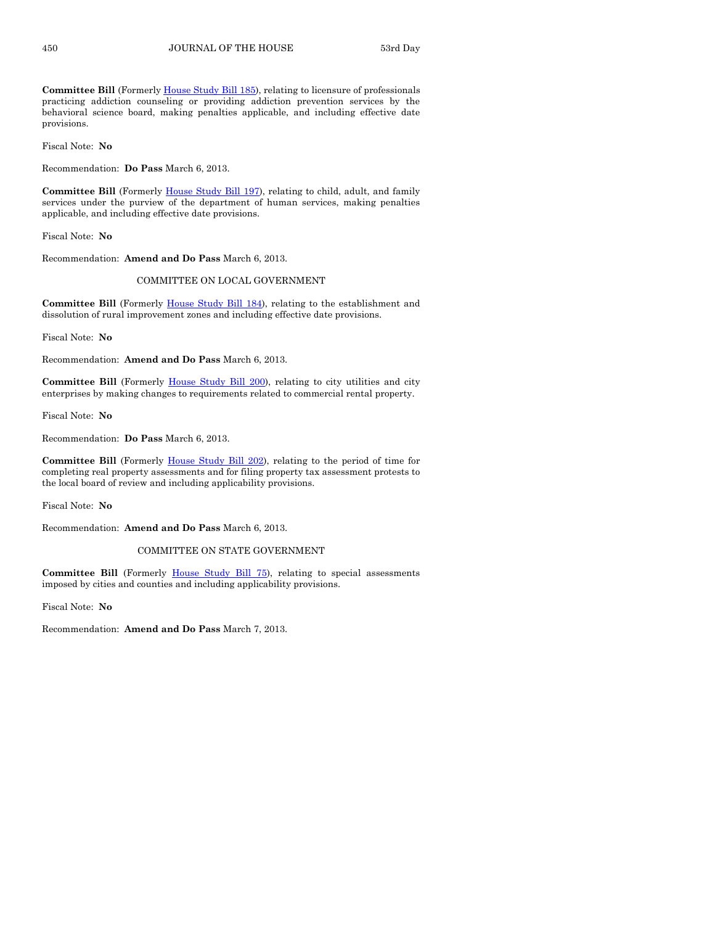**Committee Bill** (Formerly [House Study Bill 185\)](http://coolice.legis.state.ia.us/Cool-ICE/default.asp?Category=billinfo&Service=Billbook&frame=1&GA=85&hbill=HSB185), relating to licensure of professionals practicing addiction counseling or providing addiction prevention services by the behavioral science board, making penalties applicable, and including effective date provisions.

Fiscal Note: **No**

Recommendation: **Do Pass** March 6, 2013.

**Committee Bill** (Formerly [House Study Bill 197\)](http://coolice.legis.state.ia.us/Cool-ICE/default.asp?Category=billinfo&Service=Billbook&frame=1&GA=85&hbill=HSB197), relating to child, adult, and family services under the purview of the department of human services, making penalties applicable, and including effective date provisions.

Fiscal Note: **No**

Recommendation: **Amend and Do Pass** March 6, 2013.

#### COMMITTEE ON LOCAL GOVERNMENT

**Committee Bill** (Formerly [House Study Bill 184\)](http://coolice.legis.state.ia.us/Cool-ICE/default.asp?Category=billinfo&Service=Billbook&frame=1&GA=85&hbill=HSB184), relating to the establishment and dissolution of rural improvement zones and including effective date provisions.

Fiscal Note: **No**

Recommendation: **Amend and Do Pass** March 6, 2013.

**Committee Bill** (Formerly [House Study Bill 200\)](http://coolice.legis.state.ia.us/Cool-ICE/default.asp?Category=billinfo&Service=Billbook&frame=1&GA=85&hbill=HSB200), relating to city utilities and city enterprises by making changes to requirements related to commercial rental property.

Fiscal Note: **No**

Recommendation: **Do Pass** March 6, 2013.

**Committee Bill** (Formerly [House Study Bill 202\)](http://coolice.legis.state.ia.us/Cool-ICE/default.asp?Category=billinfo&Service=Billbook&frame=1&GA=85&hbill=HSB202), relating to the period of time for completing real property assessments and for filing property tax assessment protests to the local board of review and including applicability provisions.

Fiscal Note: **No**

Recommendation: **Amend and Do Pass** March 6, 2013.

#### COMMITTEE ON STATE GOVERNMENT

**Committee Bill** (Formerly [House Study Bill 75\)](http://coolice.legis.state.ia.us/Cool-ICE/default.asp?Category=billinfo&Service=Billbook&frame=1&GA=85&hbill=HSB75), relating to special assessments imposed by cities and counties and including applicability provisions.

Fiscal Note: **No**

Recommendation: **Amend and Do Pass** March 7, 2013.